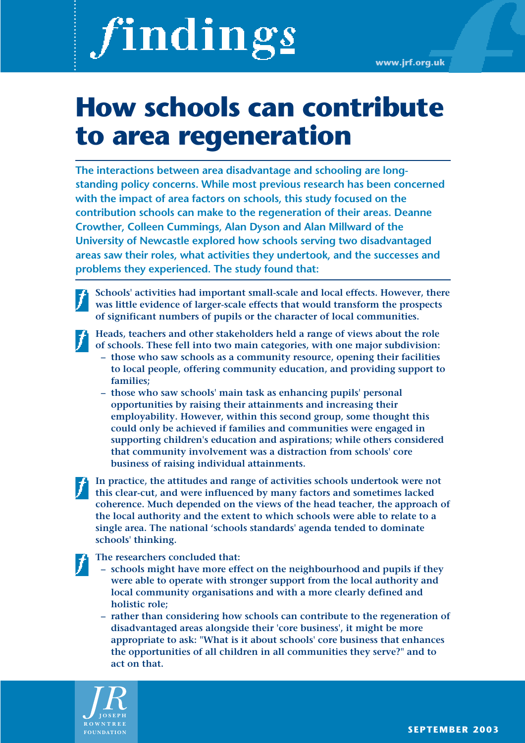# findings

**www.jrf.org.uk**

## **How schools can contribute to area regeneration**

**The interactions between area disadvantage and schooling are longstanding policy concerns. While most previous research has been concerned with the impact of area factors on schools, this study focused on the contribution schools can make to the regeneration of their areas. Deanne Crowther, Colleen Cummings, Alan Dyson and Alan Millward of the University of Newcastle explored how schools serving two disadvantaged areas saw their roles, what activities they undertook, and the successes and problems they experienced. The study found that:**

**Schools' activities had important small-scale and local effects. However, there was little evidence of larger-scale effects that would transform the prospects of significant numbers of pupils or the character of local communities.** 

**Heads, teachers and other stakeholders held a range of views about the role of schools. These fell into two main categories, with one major subdivision:** 

- **those who saw schools as a community resource, opening their facilities to local people, offering community education, and providing support to families;**
- **those who saw schools' main task as enhancing pupils' personal opportunities by raising their attainments and increasing their employability. However, within this second group, some thought this could only be achieved if families and communities were engaged in supporting children's education and aspirations; while others considered that community involvement was a distraction from schools' core business of raising individual attainments.**

**In practice, the attitudes and range of activities schools undertook were not this clear-cut, and were influenced by many factors and sometimes lacked coherence. Much depended on the views of the head teacher, the approach of the local authority and the extent to which schools were able to relate to a single area. The national 'schools standards' agenda tended to dominate schools' thinking.**

**The researchers concluded that:**

- **schools might have more effect on the neighbourhood and pupils if they were able to operate with stronger support from the local authority and local community organisations and with a more clearly defined and holistic role;**
- **rather than considering how schools can contribute to the regeneration of disadvantaged areas alongside their 'core business', it might be more appropriate to ask: "What is it about schools' core business that enhances the opportunities of all children in all communities they serve?" and to act on that.**

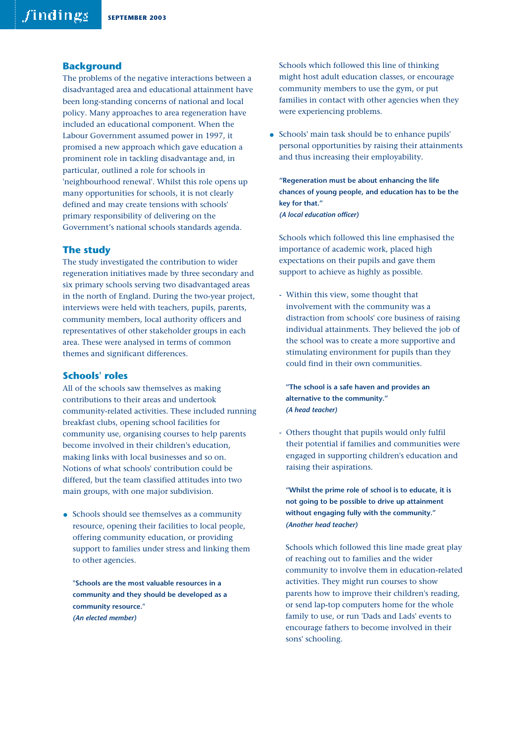#### **Background**

The problems of the negative interactions between a disadvantaged area and educational attainment have been long-standing concerns of national and local policy. Many approaches to area regeneration have included an educational component. When the Labour Government assumed power in 1997, it promised a new approach which gave education a prominent role in tackling disadvantage and, in particular, outlined a role for schools in 'neighbourhood renewal'. Whilst this role opens up many opportunities for schools, it is not clearly defined and may create tensions with schools' primary responsibility of delivering on the Government's national schools standards agenda.

#### **The study**

The study investigated the contribution to wider regeneration initiatives made by three secondary and six primary schools serving two disadvantaged areas in the north of England. During the two-year project, interviews were held with teachers, pupils, parents, community members, local authority officers and representatives of other stakeholder groups in each area. These were analysed in terms of common themes and significant differences.

#### **Schools' roles**

All of the schools saw themselves as making contributions to their areas and undertook community-related activities. These included running breakfast clubs, opening school facilities for community use, organising courses to help parents become involved in their children's education, making links with local businesses and so on. Notions of what schools' contribution could be differed, but the team classified attitudes into two main groups, with one major subdivision.

• Schools should see themselves as a community resource, opening their facilities to local people, offering community education, or providing support to families under stress and linking them to other agencies.

**"Schools are the most valuable resources in a community and they should be developed as a community resource."**  *(An elected member)*

Schools which followed this line of thinking might host adult education classes, or encourage community members to use the gym, or put families in contact with other agencies when they were experiencing problems.

• Schools' main task should be to enhance pupils' personal opportunities by raising their attainments and thus increasing their employability.

**"Regeneration must be about enhancing the life chances of young people, and education has to be the key for that."** *(A local education officer)*

Schools which followed this line emphasised the importance of academic work, placed high expectations on their pupils and gave them support to achieve as highly as possible.

- Within this view, some thought that involvement with the community was a distraction from schools' core business of raising individual attainments. They believed the job of the school was to create a more supportive and stimulating environment for pupils than they could find in their own communities.

**"The school is a safe haven and provides an alternative to the community."** *(A head teacher)*

- Others thought that pupils would only fulfil their potential if families and communities were engaged in supporting children's education and raising their aspirations.

**"Whilst the prime role of school is to educate, it is not going to be possible to drive up attainment without engaging fully with the community."**  *(Another head teacher)* 

Schools which followed this line made great play of reaching out to families and the wider community to involve them in education-related activities. They might run courses to show parents how to improve their children's reading, or send lap-top computers home for the whole family to use, or run 'Dads and Lads' events to encourage fathers to become involved in their sons' schooling.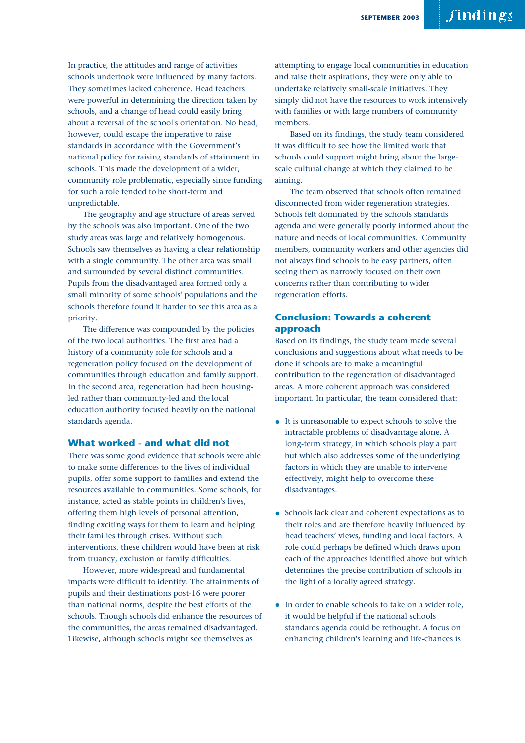In practice, the attitudes and range of activities schools undertook were influenced by many factors. They sometimes lacked coherence. Head teachers were powerful in determining the direction taken by schools, and a change of head could easily bring about a reversal of the school's orientation. No head, however, could escape the imperative to raise standards in accordance with the Government's national policy for raising standards of attainment in schools. This made the development of a wider, community role problematic, especially since funding for such a role tended to be short-term and unpredictable.

The geography and age structure of areas served by the schools was also important. One of the two study areas was large and relatively homogenous. Schools saw themselves as having a clear relationship with a single community. The other area was small and surrounded by several distinct communities. Pupils from the disadvantaged area formed only a small minority of some schools' populations and the schools therefore found it harder to see this area as a priority.

The difference was compounded by the policies of the two local authorities. The first area had a history of a community role for schools and a regeneration policy focused on the development of communities through education and family support. In the second area, regeneration had been housingled rather than community-led and the local education authority focused heavily on the national standards agenda.

#### **What worked - and what did not**

There was some good evidence that schools were able to make some differences to the lives of individual pupils, offer some support to families and extend the resources available to communities. Some schools, for instance, acted as stable points in children's lives, offering them high levels of personal attention, finding exciting ways for them to learn and helping their families through crises. Without such interventions, these children would have been at risk from truancy, exclusion or family difficulties.

However, more widespread and fundamental impacts were difficult to identify. The attainments of pupils and their destinations post-16 were poorer than national norms, despite the best efforts of the schools. Though schools did enhance the resources of the communities, the areas remained disadvantaged. Likewise, although schools might see themselves as

attempting to engage local communities in education and raise their aspirations, they were only able to undertake relatively small-scale initiatives. They simply did not have the resources to work intensively with families or with large numbers of community members.

Based on its findings, the study team considered it was difficult to see how the limited work that schools could support might bring about the largescale cultural change at which they claimed to be aiming.

The team observed that schools often remained disconnected from wider regeneration strategies. Schools felt dominated by the schools standards agenda and were generally poorly informed about the nature and needs of local communities. Community members, community workers and other agencies did not always find schools to be easy partners, often seeing them as narrowly focused on their own concerns rather than contributing to wider regeneration efforts.

#### **Conclusion: Towards a coherent approach**

Based on its findings, the study team made several conclusions and suggestions about what needs to be done if schools are to make a meaningful contribution to the regeneration of disadvantaged areas. A more coherent approach was considered important. In particular, the team considered that:

- It is unreasonable to expect schools to solve the intractable problems of disadvantage alone. A long-term strategy, in which schools play a part but which also addresses some of the underlying factors in which they are unable to intervene effectively, might help to overcome these disadvantages.
- Schools lack clear and coherent expectations as to their roles and are therefore heavily influenced by head teachers' views, funding and local factors. A role could perhaps be defined which draws upon each of the approaches identified above but which determines the precise contribution of schools in the light of a locally agreed strategy.
- In order to enable schools to take on a wider role, it would be helpful if the national schools standards agenda could be rethought. A focus on enhancing children's learning and life-chances is